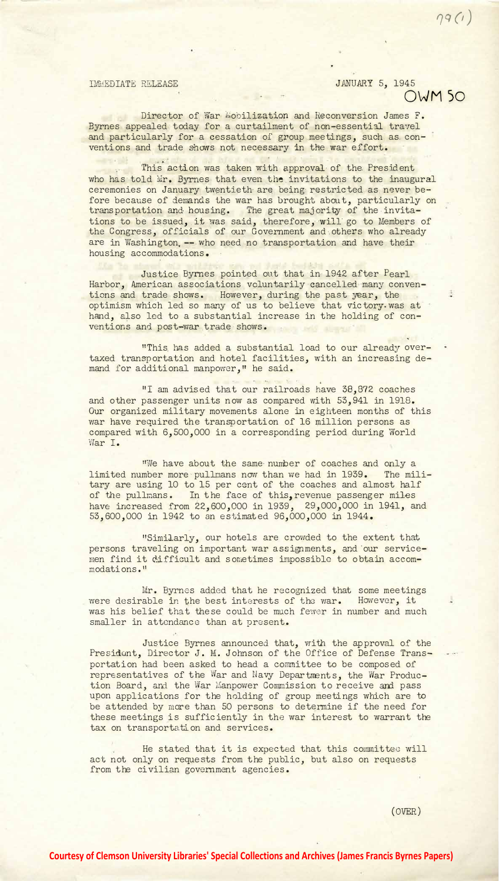IMMEDIATE RELEASE JANUARY 5, 1945 **OWM So** 

*l]q (1)* 

 $\ddot{a}$ 

Director of War Mobilization and Reconversion James F. Byrnes appealed today for a curtailment of non-essential travel and particularly for a cessation of group meetings, such as conventions and trade shows not necessary in the war effort.

This action was taken with approval of the President who has told Wr. Byrnes that even the invitations to the inaugural ceremonies on January twentieth are being restricted as never before because of demands the war has brought about, particularly on transportation and housing. The great majority of the invitations to be issued, it was said, therefore, will go to Members of the Congress, officials of our Government and others who already are in Washington, -- who need no transportation and have their housing accommodations.

Justice Byrnes pointed out that in 1942 after Pearl Harbor, American associations voluntarily cancelled many conventions and trade shows. However, during the past year, the optimism which led so many of us to believe that victory. was at hand, also led to a substantial increase in the holding of conventions and post-war trade shows.

"This. has added a substantial load to our already overtaxed transportation and hotel facilities, with an increasing demand for additional manpower," he said.

"I am advised that our railroads have 38,872 coaches and other passenger units now as compared with 53,941 in 1918. Our organized military movements alone in eighteen months of this war have required the transportation of 16 million persons as compared with 6,500,000 in a corresponding period during World War I.

**11We have about the same number of coaches and only a** limited number more pullmans now than we had in 1939. The military are using 10 to 15 per cent of the coaches and almost half of the pullmans. In the face of this, revenue passenger miles have increased from 22,600,000 in 1939, 29,000,000 in 1941, and 53,600,000 in 1942 to an estimat ed 96,000,000 in 1944.

**<sup>11</sup>**Sin1iJ..arly, our hotels are crowded to the extent that persons traveling on important war assignments, and our servicemen find it difficult and sometimes impossible to obtain accommodati ons • <sup>11</sup>

Mr. Byrnes added that he recognized that some meetings were desirable in the best interests of the war. However, it was his belief that these could be much fewer in number and much smaller in attendance than at present.

Justice Byrnes announced that, with the approval of the President, Director J. M. Johnson of the Office of Defense Transportation had been asked to head a committee to be composed of representatives of the War and Navy Departments, the War Production Board, and the War Manpower Commission to receive and pass upon applications for the holding of group meetings which are to be attended by more than 50 persons to determine if the need for these meetings is sufficiently in the war interest to warrant the tax on transportation and services.

He stated that it is expected that this committee will act not only on requests from the public, but also on requests from the civilian government agencies.

(OVER)